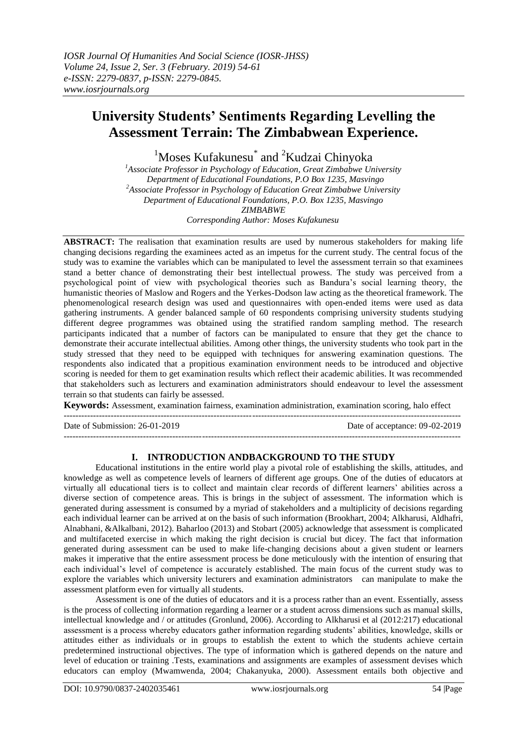# **University Students' Sentiments Regarding Levelling the Assessment Terrain: The Zimbabwean Experience.**

<sup>1</sup>Moses Kufakunesu<sup>\*</sup> and <sup>2</sup>Kudzai Chinyoka

*<sup>1</sup>Associate Professor in Psychology of Education, Great Zimbabwe University Department of Educational Foundations, P.O Box 1235, Masvingo <sup>2</sup>Associate Professor in Psychology of Education Great Zimbabwe University Department of Educational Foundations, P.O. Box 1235, Masvingo ZIMBABWE*

*Corresponding Author: Moses Kufakunesu*

**ABSTRACT:** The realisation that examination results are used by numerous stakeholders for making life changing decisions regarding the examinees acted as an impetus for the current study. The central focus of the study was to examine the variables which can be manipulated to level the assessment terrain so that examinees stand a better chance of demonstrating their best intellectual prowess. The study was perceived from a psychological point of view with psychological theories such as Bandura's social learning theory, the humanistic theories of Maslow and Rogers and the Yerkes-Dodson law acting as the theoretical framework. The phenomenological research design was used and questionnaires with open-ended items were used as data gathering instruments. A gender balanced sample of 60 respondents comprising university students studying different degree programmes was obtained using the stratified random sampling method. The research participants indicated that a number of factors can be manipulated to ensure that they get the chance to demonstrate their accurate intellectual abilities. Among other things, the university students who took part in the study stressed that they need to be equipped with techniques for answering examination questions. The respondents also indicated that a propitious examination environment needs to be introduced and objective scoring is needed for them to get examination results which reflect their academic abilities. It was recommended that stakeholders such as lecturers and examination administrators should endeavour to level the assessment terrain so that students can fairly be assessed.

**Keywords:** Assessment, examination fairness, examination administration, examination scoring, halo effect  $-1.1$ 

Date of Submission: 26-01-2019 Date of acceptance: 09-02-2019

---------------------------------------------------------------------------------------------------------------------------------------

# **I. INTRODUCTION ANDBACKGROUND TO THE STUDY**

Educational institutions in the entire world play a pivotal role of establishing the skills, attitudes, and knowledge as well as competence levels of learners of different age groups. One of the duties of educators at virtually all educational tiers is to collect and maintain clear records of different learners' abilities across a diverse section of competence areas. This is brings in the subject of assessment. The information which is generated during assessment is consumed by a myriad of stakeholders and a multiplicity of decisions regarding each individual learner can be arrived at on the basis of such information (Brookhart, 2004; Alkharusi, Aldhafri, Alnabhani, &Alkalbani, 2012). Baharloo (2013) and Stobart (2005) acknowledge that assessment is complicated and multifaceted exercise in which making the right decision is crucial but dicey. The fact that information generated during assessment can be used to make life-changing decisions about a given student or learners makes it imperative that the entire assessment process be done meticulously with the intention of ensuring that each individual's level of competence is accurately established. The main focus of the current study was to explore the variables which university lecturers and examination administrators can manipulate to make the assessment platform even for virtually all students.

Assessment is one of the duties of educators and it is a process rather than an event. Essentially, assess is the process of collecting information regarding a learner or a student across dimensions such as manual skills, intellectual knowledge and / or attitudes (Gronlund, 2006). According to Alkharusi et al (2012:217) educational assessment is a process whereby educators gather information regarding students' abilities, knowledge, skills or attitudes either as individuals or in groups to establish the extent to which the students achieve certain predetermined instructional objectives. The type of information which is gathered depends on the nature and level of education or training .Tests, examinations and assignments are examples of assessment devises which educators can employ (Mwamwenda, 2004; Chakanyuka, 2000). Assessment entails both objective and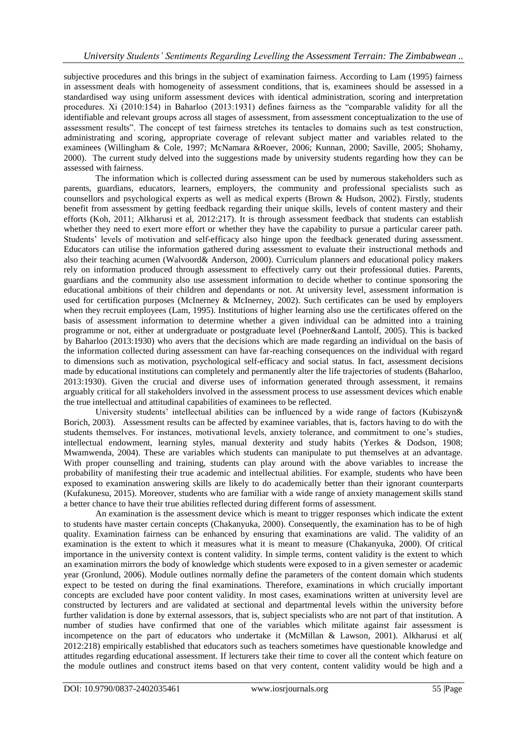subjective procedures and this brings in the subject of examination fairness. According to Lam (1995) fairness in assessment deals with homogeneity of assessment conditions, that is, examinees should be assessed in a standardised way using uniform assessment devices with identical administration, scoring and interpretation procedures. Xi (2010:154) in Baharloo (2013:1931) defines fairness as the "comparable validity for all the identifiable and relevant groups across all stages of assessment, from assessment conceptualization to the use of assessment results". The concept of test fairness stretches its tentacles to domains such as test construction, administrating and scoring, appropriate coverage of relevant subject matter and variables related to the examinees (Willingham & Cole, 1997; McNamara &Roever, 2006; Kunnan, 2000; Saville, 2005; Shohamy, 2000). The current study delved into the suggestions made by university students regarding how they can be assessed with fairness.

The information which is collected during assessment can be used by numerous stakeholders such as parents, guardians, educators, learners, employers, the community and professional specialists such as counsellors and psychological experts as well as medical experts (Brown & Hudson, 2002). Firstly, students benefit from assessment by getting feedback regarding their unique skills, levels of content mastery and their efforts (Koh, 2011; Alkharusi et al, 2012:217). It is through assessment feedback that students can establish whether they need to exert more effort or whether they have the capability to pursue a particular career path. Students' levels of motivation and self-efficacy also hinge upon the feedback generated during assessment. Educators can utilise the information gathered during assessment to evaluate their instructional methods and also their teaching acumen (Walvoord& Anderson, 2000). Curriculum planners and educational policy makers rely on information produced through assessment to effectively carry out their professional duties. Parents, guardians and the community also use assessment information to decide whether to continue sponsoring the educational ambitions of their children and dependants or not. At university level, assessment information is used for certification purposes (McInerney & McInerney, 2002). Such certificates can be used by employers when they recruit employees (Lam, 1995). Institutions of higher learning also use the certificates offered on the basis of assessment information to determine whether a given individual can be admitted into a training programme or not, either at undergraduate or postgraduate level (Poehner&and Lantolf, 2005). This is backed by Baharloo (2013:1930) who avers that the decisions which are made regarding an individual on the basis of the information collected during assessment can have far-reaching consequences on the individual with regard to dimensions such as motivation, psychological self-efficacy and social status. In fact, assessment decisions made by educational institutions can completely and permanently alter the life trajectories of students (Baharloo, 2013:1930). Given the crucial and diverse uses of information generated through assessment, it remains arguably critical for all stakeholders involved in the assessment process to use assessment devices which enable the true intellectual and attitudinal capabilities of examinees to be reflected.

University students' intellectual abilities can be influenced by a wide range of factors (Kubiszyn& Borich, 2003). Assessment results can be affected by examinee variables, that is, factors having to do with the students themselves. For instances, motivational levels, anxiety tolerance, and commitment to one's studies, intellectual endowment, learning styles, manual dexterity and study habits (Yerkes & Dodson, 1908; Mwamwenda, 2004). These are variables which students can manipulate to put themselves at an advantage. With proper counselling and training, students can play around with the above variables to increase the probability of manifesting their true academic and intellectual abilities. For example, students who have been exposed to examination answering skills are likely to do academically better than their ignorant counterparts (Kufakunesu, 2015). Moreover, students who are familiar with a wide range of anxiety management skills stand a better chance to have their true abilities reflected during different forms of assessment.

An examination is the assessment device which is meant to trigger responses which indicate the extent to students have master certain concepts (Chakanyuka, 2000). Consequently, the examination has to be of high quality. Examination fairness can be enhanced by ensuring that examinations are valid. The validity of an examination is the extent to which it measures what it is meant to measure (Chakanyuka, 2000). Of critical importance in the university context is content validity. In simple terms, content validity is the extent to which an examination mirrors the body of knowledge which students were exposed to in a given semester or academic year (Gronlund, 2006). Module outlines normally define the parameters of the content domain which students expect to be tested on during the final examinations. Therefore, examinations in which crucially important concepts are excluded have poor content validity. In most cases, examinations written at university level are constructed by lecturers and are validated at sectional and departmental levels within the university before further validation is done by external assessors, that is, subject specialists who are not part of that institution. A number of studies have confirmed that one of the variables which militate against fair assessment is incompetence on the part of educators who undertake it (McMillan & Lawson, 2001). Alkharusi et al( 2012:218) empirically established that educators such as teachers sometimes have questionable knowledge and attitudes regarding educational assessment. If lecturers take their time to cover all the content which feature on the module outlines and construct items based on that very content, content validity would be high and a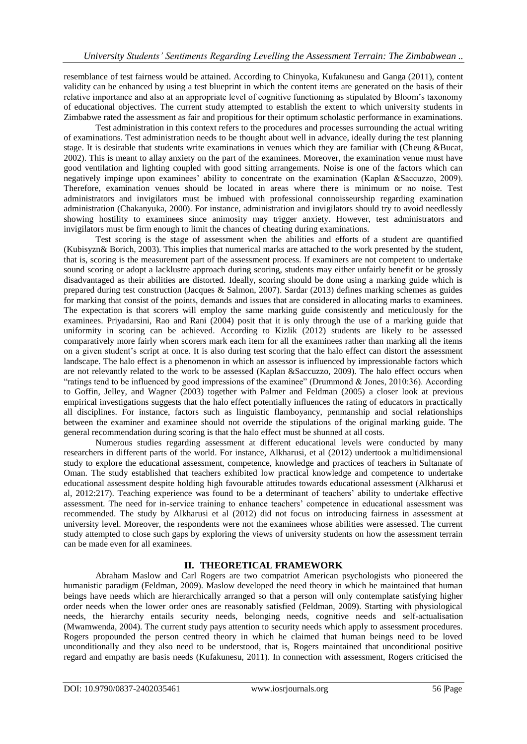resemblance of test fairness would be attained. According to Chinyoka, Kufakunesu and Ganga (2011), content validity can be enhanced by using a test blueprint in which the content items are generated on the basis of their relative importance and also at an appropriate level of cognitive functioning as stipulated by Bloom's taxonomy of educational objectives. The current study attempted to establish the extent to which university students in Zimbabwe rated the assessment as fair and propitious for their optimum scholastic performance in examinations.

Test administration in this context refers to the procedures and processes surrounding the actual writing of examinations. Test administration needs to be thought about well in advance, ideally during the test planning stage. It is desirable that students write examinations in venues which they are familiar with (Cheung &Bucat, 2002). This is meant to allay anxiety on the part of the examinees. Moreover, the examination venue must have good ventilation and lighting coupled with good sitting arrangements. Noise is one of the factors which can negatively impinge upon examinees' ability to concentrate on the examination (Kaplan &Saccuzzo, 2009). Therefore, examination venues should be located in areas where there is minimum or no noise. Test administrators and invigilators must be imbued with professional connoisseurship regarding examination administration (Chakanyuka, 2000). For instance, administration and invigilators should try to avoid needlessly showing hostility to examinees since animosity may trigger anxiety. However, test administrators and invigilators must be firm enough to limit the chances of cheating during examinations.

Test scoring is the stage of assessment when the abilities and efforts of a student are quantified (Kubisyzn& Borich, 2003). This implies that numerical marks are attached to the work presented by the student, that is, scoring is the measurement part of the assessment process. If examiners are not competent to undertake sound scoring or adopt a lacklustre approach during scoring, students may either unfairly benefit or be grossly disadvantaged as their abilities are distorted. Ideally, scoring should be done using a marking guide which is prepared during test construction (Jacques & Salmon, 2007). Sardar (2013) defines marking schemes as guides for marking that consist of the points, demands and issues that are considered in allocating marks to examinees. The expectation is that scorers will employ the same marking guide consistently and meticulously for the examinees. Priyadarsini, Rao and Rani (2004) posit that it is only through the use of a marking guide that uniformity in scoring can be achieved. According to Kizlik (2012) students are likely to be assessed comparatively more fairly when scorers mark each item for all the examinees rather than marking all the items on a given student's script at once. It is also during test scoring that the halo effect can distort the assessment landscape. The halo effect is a phenomenon in which an assessor is influenced by impressionable factors which are not relevantly related to the work to be assessed (Kaplan &Saccuzzo, 2009). The halo effect occurs when "ratings tend to be influenced by good impressions of the examinee" (Drummond & Jones, 2010:36). According to Goffin, Jelley, and Wagner (2003) together with Palmer and Feldman (2005) a closer look at previous empirical investigations suggests that the halo effect potentially influences the rating of educators in practically all disciplines. For instance, factors such as linguistic flamboyancy, penmanship and social relationships between the examiner and examinee should not override the stipulations of the original marking guide. The general recommendation during scoring is that the halo effect must be shunned at all costs.

Numerous studies regarding assessment at different educational levels were conducted by many researchers in different parts of the world. For instance, Alkharusi, et al (2012) undertook a multidimensional study to explore the educational assessment, competence, knowledge and practices of teachers in Sultanate of Oman. The study established that teachers exhibited low practical knowledge and competence to undertake educational assessment despite holding high favourable attitudes towards educational assessment (Alkharusi et al, 2012:217). Teaching experience was found to be a determinant of teachers' ability to undertake effective assessment. The need for in-service training to enhance teachers' competence in educational assessment was recommended. The study by Alkharusi et al (2012) did not focus on introducing fairness in assessment at university level. Moreover, the respondents were not the examinees whose abilities were assessed. The current study attempted to close such gaps by exploring the views of university students on how the assessment terrain can be made even for all examinees.

### **II. THEORETICAL FRAMEWORK**

Abraham Maslow and Carl Rogers are two compatriot American psychologists who pioneered the humanistic paradigm (Feldman, 2009). Maslow developed the need theory in which he maintained that human beings have needs which are hierarchically arranged so that a person will only contemplate satisfying higher order needs when the lower order ones are reasonably satisfied (Feldman, 2009). Starting with physiological needs, the hierarchy entails security needs, belonging needs, cognitive needs and self-actualisation (Mwamwenda, 2004). The current study pays attention to security needs which apply to assessment procedures. Rogers propounded the person centred theory in which he claimed that human beings need to be loved unconditionally and they also need to be understood, that is, Rogers maintained that unconditional positive regard and empathy are basis needs (Kufakunesu, 2011). In connection with assessment, Rogers criticised the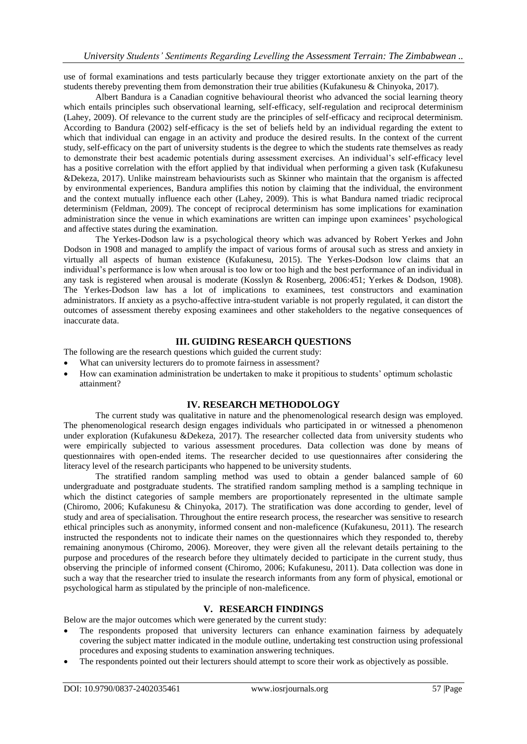use of formal examinations and tests particularly because they trigger extortionate anxiety on the part of the students thereby preventing them from demonstration their true abilities (Kufakunesu & Chinyoka, 2017).

Albert Bandura is a Canadian cognitive behavioural theorist who advanced the social learning theory which entails principles such observational learning, self-efficacy, self-regulation and reciprocal determinism (Lahey, 2009). Of relevance to the current study are the principles of self-efficacy and reciprocal determinism. According to Bandura (2002) self-efficacy is the set of beliefs held by an individual regarding the extent to which that individual can engage in an activity and produce the desired results. In the context of the current study, self-efficacy on the part of university students is the degree to which the students rate themselves as ready to demonstrate their best academic potentials during assessment exercises. An individual's self-efficacy level has a positive correlation with the effort applied by that individual when performing a given task (Kufakunesu &Dekeza, 2017). Unlike mainstream behaviourists such as Skinner who maintain that the organism is affected by environmental experiences, Bandura amplifies this notion by claiming that the individual, the environment and the context mutually influence each other (Lahey, 2009). This is what Bandura named triadic reciprocal determinism (Feldman, 2009). The concept of reciprocal determinism has some implications for examination administration since the venue in which examinations are written can impinge upon examinees' psychological and affective states during the examination.

The Yerkes-Dodson law is a psychological theory which was advanced by Robert Yerkes and John Dodson in 1908 and managed to amplify the impact of various forms of arousal such as stress and anxiety in virtually all aspects of human existence (Kufakunesu, 2015). The Yerkes-Dodson low claims that an individual's performance is low when arousal is too low or too high and the best performance of an individual in any task is registered when arousal is moderate (Kosslyn & Rosenberg, 2006:451; Yerkes & Dodson, 1908). The Yerkes-Dodson law has a lot of implications to examinees, test constructors and examination administrators. If anxiety as a psycho-affective intra-student variable is not properly regulated, it can distort the outcomes of assessment thereby exposing examinees and other stakeholders to the negative consequences of inaccurate data.

#### **III. GUIDING RESEARCH QUESTIONS**

The following are the research questions which guided the current study:

- What can university lecturers do to promote fairness in assessment?
- How can examination administration be undertaken to make it propitious to students' optimum scholastic attainment?

# **IV. RESEARCH METHODOLOGY**

The current study was qualitative in nature and the phenomenological research design was employed. The phenomenological research design engages individuals who participated in or witnessed a phenomenon under exploration (Kufakunesu &Dekeza, 2017). The researcher collected data from university students who were empirically subjected to various assessment procedures. Data collection was done by means of questionnaires with open-ended items. The researcher decided to use questionnaires after considering the literacy level of the research participants who happened to be university students.

The stratified random sampling method was used to obtain a gender balanced sample of 60 undergraduate and postgraduate students. The stratified random sampling method is a sampling technique in which the distinct categories of sample members are proportionately represented in the ultimate sample (Chiromo, 2006; Kufakunesu & Chinyoka, 2017). The stratification was done according to gender, level of study and area of specialisation. Throughout the entire research process, the researcher was sensitive to research ethical principles such as anonymity, informed consent and non-maleficence (Kufakunesu, 2011). The research instructed the respondents not to indicate their names on the questionnaires which they responded to, thereby remaining anonymous (Chiromo, 2006). Moreover, they were given all the relevant details pertaining to the purpose and procedures of the research before they ultimately decided to participate in the current study, thus observing the principle of informed consent (Chiromo, 2006; Kufakunesu, 2011). Data collection was done in such a way that the researcher tried to insulate the research informants from any form of physical, emotional or psychological harm as stipulated by the principle of non-maleficence.

### **V. RESEARCH FINDINGS**

Below are the major outcomes which were generated by the current study:

- The respondents proposed that university lecturers can enhance examination fairness by adequately covering the subject matter indicated in the module outline, undertaking test construction using professional procedures and exposing students to examination answering techniques.
- The respondents pointed out their lecturers should attempt to score their work as objectively as possible.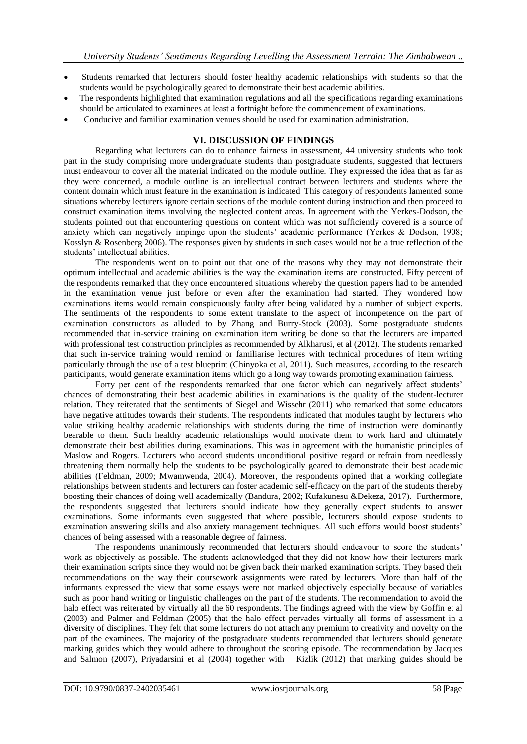- Students remarked that lecturers should foster healthy academic relationships with students so that the students would be psychologically geared to demonstrate their best academic abilities.
- The respondents highlighted that examination regulations and all the specifications regarding examinations should be articulated to examinees at least a fortnight before the commencement of examinations.
- Conducive and familiar examination venues should be used for examination administration.

## **VI. DISCUSSION OF FINDINGS**

Regarding what lecturers can do to enhance fairness in assessment, 44 university students who took part in the study comprising more undergraduate students than postgraduate students, suggested that lecturers must endeavour to cover all the material indicated on the module outline. They expressed the idea that as far as they were concerned, a module outline is an intellectual contract between lecturers and students where the content domain which must feature in the examination is indicated. This category of respondents lamented some situations whereby lecturers ignore certain sections of the module content during instruction and then proceed to construct examination items involving the neglected content areas. In agreement with the Yerkes-Dodson, the students pointed out that encountering questions on content which was not sufficiently covered is a source of anxiety which can negatively impinge upon the students' academic performance (Yerkes & Dodson, 1908; Kosslyn & Rosenberg 2006). The responses given by students in such cases would not be a true reflection of the students' intellectual abilities.

The respondents went on to point out that one of the reasons why they may not demonstrate their optimum intellectual and academic abilities is the way the examination items are constructed. Fifty percent of the respondents remarked that they once encountered situations whereby the question papers had to be amended in the examination venue just before or even after the examination had started. They wondered how examinations items would remain conspicuously faulty after being validated by a number of subject experts. The sentiments of the respondents to some extent translate to the aspect of incompetence on the part of examination constructors as alluded to by Zhang and Burry-Stock (2003). Some postgraduate students recommended that in-service training on examination item writing be done so that the lecturers are imparted with professional test construction principles as recommended by Alkharusi, et al (2012). The students remarked that such in-service training would remind or familiarise lectures with technical procedures of item writing particularly through the use of a test blueprint (Chinyoka et al, 2011). Such measures, according to the research participants, would generate examination items which go a long way towards promoting examination fairness.

Forty per cent of the respondents remarked that one factor which can negatively affect students' chances of demonstrating their best academic abilities in examinations is the quality of the student-lecturer relation. They reiterated that the sentiments of Siegel and Wissehr (2011) who remarked that some educators have negative attitudes towards their students. The respondents indicated that modules taught by lecturers who value striking healthy academic relationships with students during the time of instruction were dominantly bearable to them. Such healthy academic relationships would motivate them to work hard and ultimately demonstrate their best abilities during examinations. This was in agreement with the humanistic principles of Maslow and Rogers. Lecturers who accord students unconditional positive regard or refrain from needlessly threatening them normally help the students to be psychologically geared to demonstrate their best academic abilities (Feldman, 2009; Mwamwenda, 2004). Moreover, the respondents opined that a working collegiate relationships between students and lecturers can foster academic self-efficacy on the part of the students thereby boosting their chances of doing well academically (Bandura, 2002; Kufakunesu &Dekeza, 2017). Furthermore, the respondents suggested that lecturers should indicate how they generally expect students to answer examinations. Some informants even suggested that where possible, lecturers should expose students to examination answering skills and also anxiety management techniques. All such efforts would boost students' chances of being assessed with a reasonable degree of fairness.

The respondents unanimously recommended that lecturers should endeavour to score the students' work as objectively as possible. The students acknowledged that they did not know how their lecturers mark their examination scripts since they would not be given back their marked examination scripts. They based their recommendations on the way their coursework assignments were rated by lecturers. More than half of the informants expressed the view that some essays were not marked objectively especially because of variables such as poor hand writing or linguistic challenges on the part of the students. The recommendation to avoid the halo effect was reiterated by virtually all the 60 respondents. The findings agreed with the view by Goffin et al (2003) and Palmer and Feldman (2005) that the halo effect pervades virtually all forms of assessment in a diversity of disciplines. They felt that some lecturers do not attach any premium to creativity and novelty on the part of the examinees. The majority of the postgraduate students recommended that lecturers should generate marking guides which they would adhere to throughout the scoring episode. The recommendation by Jacques and Salmon (2007), Priyadarsini et al (2004) together with Kizlik (2012) that marking guides should be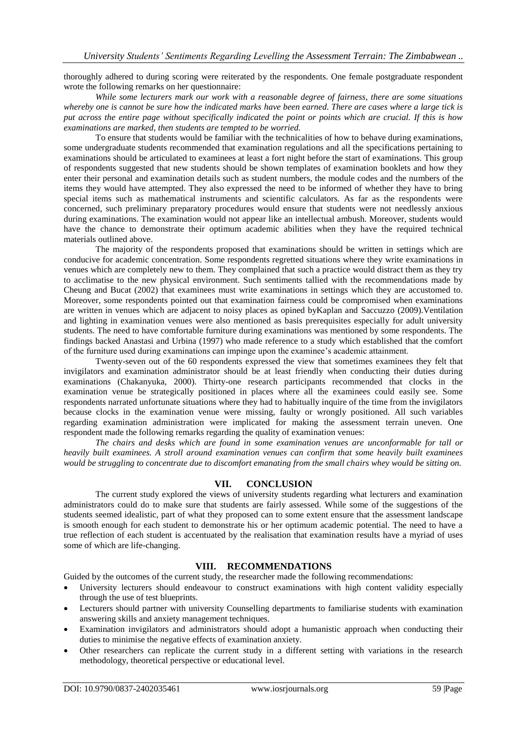thoroughly adhered to during scoring were reiterated by the respondents. One female postgraduate respondent wrote the following remarks on her questionnaire:

*While some lecturers mark our work with a reasonable degree of fairness, there are some situations whereby one is cannot be sure how the indicated marks have been earned. There are cases where a large tick is put across the entire page without specifically indicated the point or points which are crucial. If this is how examinations are marked, then students are tempted to be worried.* 

To ensure that students would be familiar with the technicalities of how to behave during examinations, some undergraduate students recommended that examination regulations and all the specifications pertaining to examinations should be articulated to examinees at least a fort night before the start of examinations. This group of respondents suggested that new students should be shown templates of examination booklets and how they enter their personal and examination details such as student numbers, the module codes and the numbers of the items they would have attempted. They also expressed the need to be informed of whether they have to bring special items such as mathematical instruments and scientific calculators. As far as the respondents were concerned, such preliminary preparatory procedures would ensure that students were not needlessly anxious during examinations. The examination would not appear like an intellectual ambush. Moreover, students would have the chance to demonstrate their optimum academic abilities when they have the required technical materials outlined above.

The majority of the respondents proposed that examinations should be written in settings which are conducive for academic concentration. Some respondents regretted situations where they write examinations in venues which are completely new to them. They complained that such a practice would distract them as they try to acclimatise to the new physical environment. Such sentiments tallied with the recommendations made by Cheung and Bucat (2002) that examinees must write examinations in settings which they are accustomed to. Moreover, some respondents pointed out that examination fairness could be compromised when examinations are written in venues which are adjacent to noisy places as opined byKaplan and Saccuzzo (2009).Ventilation and lighting in examination venues were also mentioned as basis prerequisites especially for adult university students. The need to have comfortable furniture during examinations was mentioned by some respondents. The findings backed Anastasi and Urbina (1997) who made reference to a study which established that the comfort of the furniture used during examinations can impinge upon the examinee's academic attainment.

Twenty-seven out of the 60 respondents expressed the view that sometimes examinees they felt that invigilators and examination administrator should be at least friendly when conducting their duties during examinations (Chakanyuka, 2000). Thirty-one research participants recommended that clocks in the examination venue be strategically positioned in places where all the examinees could easily see. Some respondents narrated unfortunate situations where they had to habitually inquire of the time from the invigilators because clocks in the examination venue were missing, faulty or wrongly positioned. All such variables regarding examination administration were implicated for making the assessment terrain uneven. One respondent made the following remarks regarding the quality of examination venues:

*The chairs and desks which are found in some examination venues are unconformable for tall or heavily built examinees. A stroll around examination venues can confirm that some heavily built examinees*  would be struggling to concentrate due to discomfort emanating from the small chairs whey would be sitting on.

### **VII. CONCLUSION**

The current study explored the views of university students regarding what lecturers and examination administrators could do to make sure that students are fairly assessed. While some of the suggestions of the students seemed idealistic, part of what they proposed can to some extent ensure that the assessment landscape is smooth enough for each student to demonstrate his or her optimum academic potential. The need to have a true reflection of each student is accentuated by the realisation that examination results have a myriad of uses some of which are life-changing.

# **VIII. RECOMMENDATIONS**

Guided by the outcomes of the current study, the researcher made the following recommendations:

- University lecturers should endeavour to construct examinations with high content validity especially through the use of test blueprints.
- Lecturers should partner with university Counselling departments to familiarise students with examination answering skills and anxiety management techniques.
- Examination invigilators and administrators should adopt a humanistic approach when conducting their duties to minimise the negative effects of examination anxiety.
- Other researchers can replicate the current study in a different setting with variations in the research methodology, theoretical perspective or educational level.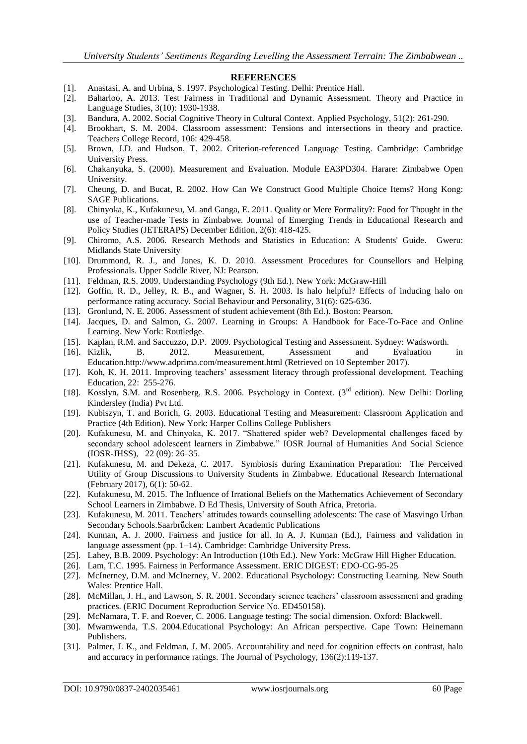#### **REFERENCES**

- [1]. Anastasi, A. and Urbina, S. 1997. Psychological Testing. Delhi: Prentice Hall.
- [2]. Baharloo, A. 2013. Test Fairness in Traditional and Dynamic Assessment. Theory and Practice in Language Studies, 3(10): 1930-1938.
- [3]. Bandura, A. 2002. Social Cognitive Theory in Cultural Context. Applied Psychology, 51(2): 261-290.
- [4]. Brookhart, S. M. 2004. Classroom assessment: Tensions and intersections in theory and practice. Teachers College Record, 106: 429-458.
- [5]. Brown, J.D. and Hudson, T. 2002. Criterion-referenced Language Testing. Cambridge: Cambridge University Press.
- [6]. Chakanyuka, S. (2000). Measurement and Evaluation. Module EA3PD304. Harare: Zimbabwe Open University.
- [7]. Cheung, D. and Bucat, R. 2002. How Can We Construct Good Multiple Choice Items? Hong Kong: SAGE Publications.
- [8]. Chinyoka, K., Kufakunesu, M. and Ganga, E. 2011. Quality or Mere Formality?: Food for Thought in the use of Teacher-made Tests in Zimbabwe. Journal of Emerging Trends in Educational Research and Policy Studies (JETERAPS) December Edition, 2(6): 418-425.
- [9]. Chiromo, A.S. 2006. Research Methods and Statistics in Education: A Students' Guide. Gweru: Midlands State University
- [10]. Drummond, R. J., and Jones, K. D. 2010. Assessment Procedures for Counsellors and Helping Professionals. Upper Saddle River, NJ: Pearson.
- [11]. Feldman, R.S. 2009. Understanding Psychology (9th Ed.). New York: McGraw-Hill
- [12]. Goffin, R. D., Jelley, R. B., and Wagner, S. H. 2003. Is halo helpful? Effects of inducing halo on performance rating accuracy. Social Behaviour and Personality, 31(6): 625-636.
- [13]. Gronlund, N. E. 2006. Assessment of student achievement (8th Ed.). Boston: Pearson.
- [14]. Jacques, D. and Salmon, G. 2007. Learning in Groups: A Handbook for Face-To-Face and Online Learning. New York: Routledge.
- [15]. Kaplan, R.M. and Saccuzzo, D.P. 2009. Psychological Testing and Assessment. Sydney: Wadsworth.
- [16]. Kizlik, B. 2012. Measurement, Assessment and Evaluation in Education[.http://www.adprima.com/measurement.html](http://www.adprima.com/measurement.html) (Retrieved on 10 September 2017).
- [17]. Koh, K. H. 2011. Improving teachers' assessment literacy through professional development. Teaching Education, 22: 255-276.
- [18]. Kosslyn, S.M. and Rosenberg, R.S. 2006. Psychology in Context. (3rd edition). New Delhi: Dorling Kindersley (India) Pvt Ltd.
- [19]. Kubiszyn, T. and Borich, G. 2003. Educational Testing and Measurement: Classroom Application and Practice (4th Edition). New York: Harper Collins College Publishers
- [20]. Kufakunesu, M. and Chinyoka, K. 2017. "Shattered spider web? Developmental challenges faced by secondary school adolescent learners in Zimbabwe." IOSR Journal of Humanities And Social Science (IOSR-JHSS), 22 (09): 26–35.
- [21]. Kufakunesu, M. and Dekeza, C. 2017. Symbiosis during Examination Preparation: The Perceived Utility of Group Discussions to University Students in Zimbabwe. Educational Research International (February 2017), 6(1): 50-62.
- [22]. Kufakunesu, M. 2015. The Influence of Irrational Beliefs on the Mathematics Achievement of Secondary School Learners in Zimbabwe. D Ed Thesis, University of South Africa, Pretoria.
- [23]. Kufakunesu, M. 2011. Teachers' attitudes towards counselling adolescents: The case of Masvingo Urban Secondary Schools.Saarbrücken: Lambert Academic Publications
- [24]. Kunnan, A. J. 2000. Fairness and justice for all. In A. J. Kunnan (Ed.), Fairness and validation in language assessment (pp. 1–14). Cambridge: Cambridge University Press.
- [25]. Lahey, B.B. 2009. Psychology: An Introduction (10th Ed.). New York: McGraw Hill Higher Education.
- [26]. Lam, T.C. 1995. Fairness in Performance Assessment. ERIC DIGEST: EDO-CG-95-25
- [27]. McInerney, D.M. and McInerney, V. 2002. Educational Psychology: Constructing Learning. New South Wales: Prentice Hall.
- [28]. McMillan, J. H., and Lawson, S. R. 2001. Secondary science teachers' classroom assessment and grading practices. (ERIC Document Reproduction Service No. ED450158).
- [29]. McNamara, T. F. and Roever, C. 2006. Language testing: The social dimension. Oxford: Blackwell.
- [30]. Mwamwenda, T.S. 2004.Educational Psychology: An African perspective. Cape Town: Heinemann Publishers.
- [31]. Palmer, J. K., and Feldman, J. M. 2005. Accountability and need for cognition effects on contrast, halo and accuracy in performance ratings. The Journal of Psychology, 136(2):119-137.